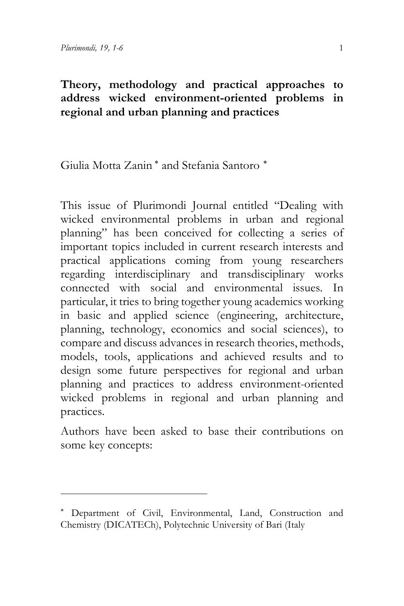## **Theory, methodology and practical approaches to address wicked environment-oriented problems in regional and urban planning and practices**

Giulia Motta Zanin [∗](#page-0-0) and Stefania Santoro [∗](#page-0-1)

This issue of Plurimondi Journal entitled "Dealing with wicked environmental problems in urban and regional planning" has been conceived for collecting a series of important topics included in current research interests and practical applications coming from young researchers regarding interdisciplinary and transdisciplinary works connected with social and environmental issues. In particular, it tries to bring together young academics working in basic and applied science (engineering, architecture, planning, technology, economics and social sciences), to compare and discuss advances in research theories, methods, models, tools, applications and achieved results and to design some future perspectives for regional and urban planning and practices to address environment-oriented wicked problems in regional and urban planning and practices.

Authors have been asked to base their contributions on some key concepts:

<span id="page-0-1"></span><span id="page-0-0"></span><sup>∗</sup> Department of Civil, Environmental, Land, Construction and Chemistry (DICATECh), Polytechnic University of Bari (Italy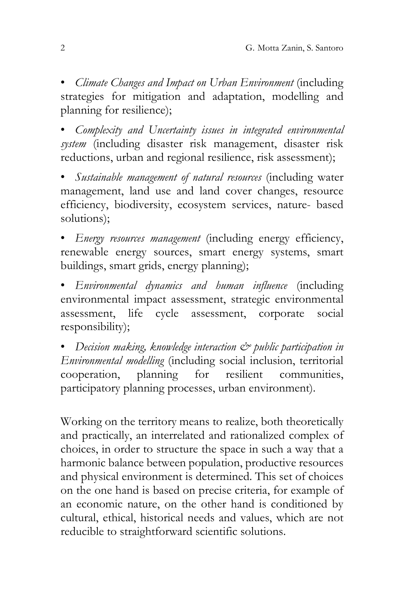• *Climate Changes and Impact on Urban Environment* (including strategies for mitigation and adaptation, modelling and planning for resilience);

• *Complexity and Uncertainty issues in integrated environmental system* (including disaster risk management, disaster risk reductions, urban and regional resilience, risk assessment);

• *Sustainable management of natural resources* (including water management, land use and land cover changes, resource efficiency, biodiversity, ecosystem services, nature- based solutions);

• *Energy resources management* (including energy efficiency, renewable energy sources, smart energy systems, smart buildings, smart grids, energy planning);

• *Environmental dynamics and human influence* (including environmental impact assessment, strategic environmental assessment, life cycle assessment, corporate social responsibility);

• *Decision making, knowledge interaction & public participation in Environmental modelling* (including social inclusion, territorial cooperation, planning for resilient communities, participatory planning processes, urban environment).

Working on the territory means to realize, both theoretically and practically, an interrelated and rationalized complex of choices, in order to structure the space in such a way that a harmonic balance between population, productive resources and physical environment is determined. This set of choices on the one hand is based on precise criteria, for example of an economic nature, on the other hand is conditioned by cultural, ethical, historical needs and values, which are not reducible to straightforward scientific solutions.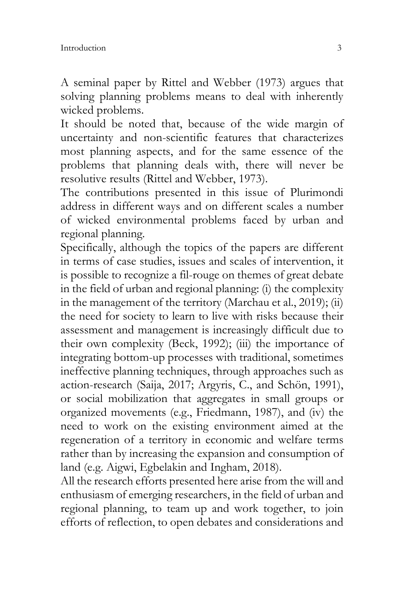A seminal paper by Rittel and Webber (1973) argues that solving planning problems means to deal with inherently wicked problems.

It should be noted that, because of the wide margin of uncertainty and non-scientific features that characterizes most planning aspects, and for the same essence of the problems that planning deals with, there will never be resolutive results (Rittel and Webber, 1973).

The contributions presented in this issue of Plurimondi address in different ways and on different scales a number of wicked environmental problems faced by urban and regional planning.

Specifically, although the topics of the papers are different in terms of case studies, issues and scales of intervention, it is possible to recognize a fil-rouge on themes of great debate in the field of urban and regional planning: (i) the complexity in the management of the territory (Marchau et al., 2019); (ii) the need for society to learn to live with risks because their assessment and management is increasingly difficult due to their own complexity (Beck, 1992); (iii) the importance of integrating bottom-up processes with traditional, sometimes ineffective planning techniques, through approaches such as action-research (Saija, 2017; Argyris, C., and Schön, 1991), or social mobilization that aggregates in small groups or organized movements (e.g., Friedmann, 1987), and (iv) the need to work on the existing environment aimed at the regeneration of a territory in economic and welfare terms rather than by increasing the expansion and consumption of land (e.g. Aigwi, Egbelakin and Ingham, 2018).

All the research efforts presented here arise from the will and enthusiasm of emerging researchers, in the field of urban and regional planning, to team up and work together, to join efforts of reflection, to open debates and considerations and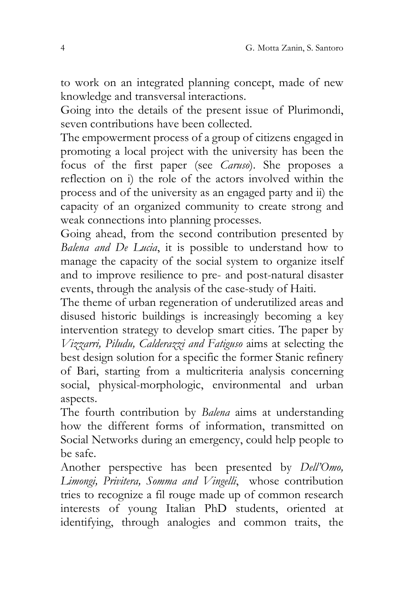to work on an integrated planning concept, made of new knowledge and transversal interactions.

Going into the details of the present issue of Plurimondi, seven contributions have been collected.

The empowerment process of a group of citizens engaged in promoting a local project with the university has been the focus of the first paper (see *Caruso*). She proposes a reflection on i) the role of the actors involved within the process and of the university as an engaged party and ii) the capacity of an organized community to create strong and weak connections into planning processes.

Going ahead, from the second contribution presented by *Balena and De Lucia*, it is possible to understand how to manage the capacity of the social system to organize itself and to improve resilience to pre- and post-natural disaster events, through the analysis of the case-study of Haiti.

The theme of urban regeneration of underutilized areas and disused historic buildings is increasingly becoming a key intervention strategy to develop smart cities. The paper by *Vizzarri, Piludu, Calderazzi and Fatiguso* aims at selecting the best design solution for a specific the former Stanic refinery of Bari, starting from a multicriteria analysis concerning social, physical-morphologic, environmental and urban aspects.

The fourth contribution by *Balena* aims at understanding how the different forms of information, transmitted on Social Networks during an emergency, could help people to be safe.

Another perspective has been presented by *Dell'Omo, Limongi, Privitera, Somma and Vingelli*, whose contribution tries to recognize a fil rouge made up of common research interests of young Italian PhD students, oriented at identifying, through analogies and common traits, the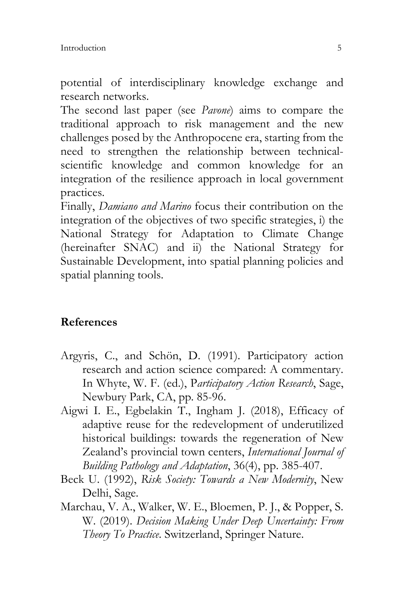potential of interdisciplinary knowledge exchange and research networks.

The second last paper (see *Pavone*) aims to compare the traditional approach to risk management and the new challenges posed by the Anthropocene era, starting from the need to strengthen the relationship between technicalscientific knowledge and common knowledge for an integration of the resilience approach in local government practices.

Finally, *Damiano and Marino* focus their contribution on the integration of the objectives of two specific strategies, i) the National Strategy for Adaptation to Climate Change (hereinafter SNAC) and ii) the National Strategy for Sustainable Development, into spatial planning policies and spatial planning tools.

## **References**

- Argyris, C., and Schön, D. (1991). Participatory action research and action science compared: A commentary. In Whyte, W. F. (ed.), P*articipatory Action Research*, Sage, Newbury Park, CA, pp. 85-96.
- Aigwi I. E., Egbelakin T., Ingham J. (2018), Efficacy of adaptive reuse for the redevelopment of underutilized historical buildings: towards the regeneration of New Zealand's provincial town centers, *International Journal of Building Pathology and Adaptation*, 36(4), pp. 385-407.
- Beck U. (1992), *Risk Society: Towards a New Modernity*, New Delhi, Sage.
- Marchau, V. A., Walker, W. E., Bloemen, P. J., & Popper, S. W. (2019). *Decision Making Under Deep Uncertainty: From Theory To Practice*. Switzerland, Springer Nature.